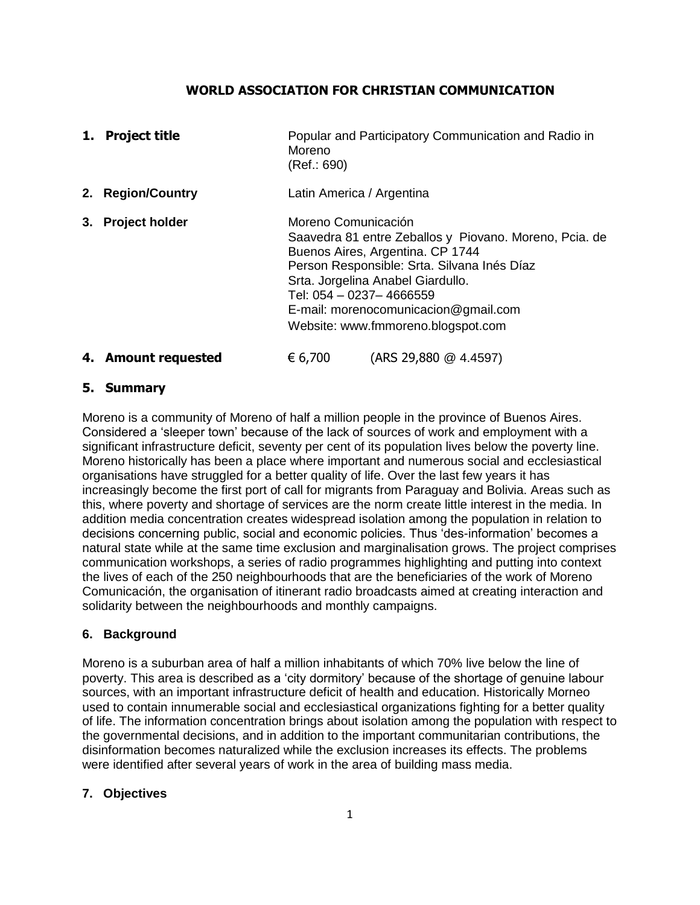### **WORLD ASSOCIATION FOR CHRISTIAN COMMUNICATION**

| 1. | <b>Project title</b>  | Popular and Participatory Communication and Radio in<br>Moreno<br>(Ref.: 690)                                                                                                                                                                                                                                  |  |
|----|-----------------------|----------------------------------------------------------------------------------------------------------------------------------------------------------------------------------------------------------------------------------------------------------------------------------------------------------------|--|
|    | 2. Region/Country     | Latin America / Argentina                                                                                                                                                                                                                                                                                      |  |
| 3. | <b>Project holder</b> | Moreno Comunicación<br>Saavedra 81 entre Zeballos y Piovano. Moreno, Pcia. de<br>Buenos Aires, Argentina. CP 1744<br>Person Responsible: Srta. Silvana Inés Díaz<br>Srta. Jorgelina Anabel Giardullo.<br>Tel: 054 - 0237-4666559<br>E-mail: morenocomunicacion@gmail.com<br>Website: www.fmmoreno.blogspot.com |  |
|    | 4. Amount requested   | (ARS 29,880 @ 4.4597)<br>€ 6,700                                                                                                                                                                                                                                                                               |  |

### **5. Summary**

Moreno is a community of Moreno of half a million people in the province of Buenos Aires. Considered a 'sleeper town' because of the lack of sources of work and employment with a significant infrastructure deficit, seventy per cent of its population lives below the poverty line. Moreno historically has been a place where important and numerous social and ecclesiastical organisations have struggled for a better quality of life. Over the last few years it has increasingly become the first port of call for migrants from Paraguay and Bolivia. Areas such as this, where poverty and shortage of services are the norm create little interest in the media. In addition media concentration creates widespread isolation among the population in relation to decisions concerning public, social and economic policies. Thus 'des-information' becomes a natural state while at the same time exclusion and marginalisation grows. The project comprises communication workshops, a series of radio programmes highlighting and putting into context the lives of each of the 250 neighbourhoods that are the beneficiaries of the work of Moreno Comunicación, the organisation of itinerant radio broadcasts aimed at creating interaction and solidarity between the neighbourhoods and monthly campaigns.

## **6. Background**

Moreno is a suburban area of half a million inhabitants of which 70% live below the line of poverty. This area is described as a 'city dormitory' because of the shortage of genuine labour sources, with an important infrastructure deficit of health and education. Historically Morneo used to contain innumerable social and ecclesiastical organizations fighting for a better quality of life. The information concentration brings about isolation among the population with respect to the governmental decisions, and in addition to the important communitarian contributions, the disinformation becomes naturalized while the exclusion increases its effects. The problems were identified after several years of work in the area of building mass media.

### **7. Objectives**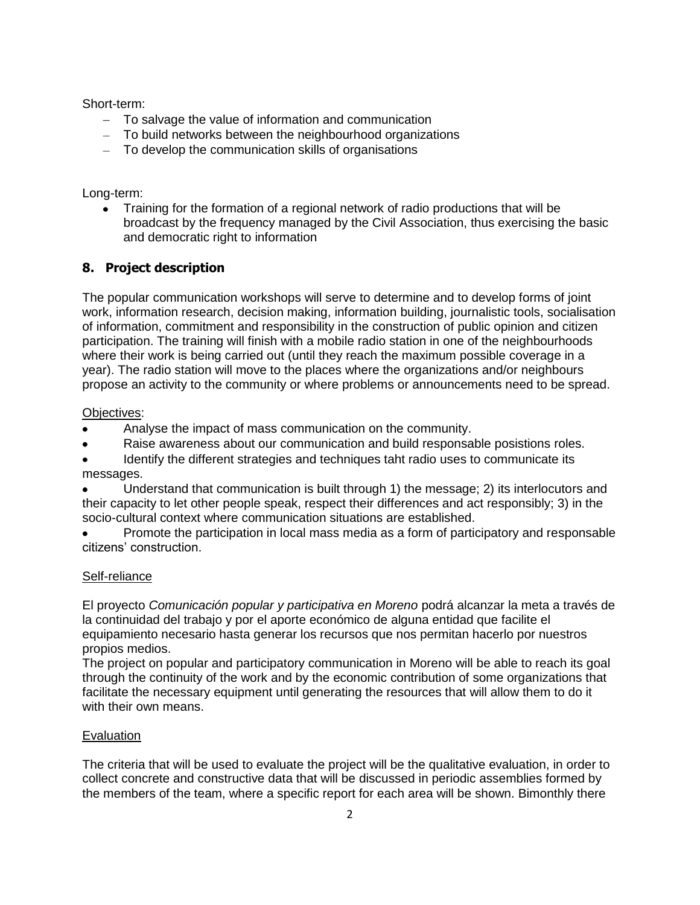Short-term:

- To salvage the value of information and communication
- To build networks between the neighbourhood organizations
- To develop the communication skills of organisations

Long-term:

Training for the formation of a regional network of radio productions that will be broadcast by the frequency managed by the Civil Association, thus exercising the basic and democratic right to information

# **8. Project description**

The popular communication workshops will serve to determine and to develop forms of joint work, information research, decision making, information building, journalistic tools, socialisation of information, commitment and responsibility in the construction of public opinion and citizen participation. The training will finish with a mobile radio station in one of the neighbourhoods where their work is being carried out (until they reach the maximum possible coverage in a year). The radio station will move to the places where the organizations and/or neighbours propose an activity to the community or where problems or announcements need to be spread.

### Objectives:

- Analyse the impact of mass communication on the community.
- Raise awareness about our communication and build responsable posistions roles.
- Identify the different strategies and techniques taht radio uses to communicate its messages.
- Understand that communication is built through 1) the message; 2) its interlocutors and their capacity to let other people speak, respect their differences and act responsibly; 3) in the socio-cultural context where communication situations are established.
- Promote the participation in local mass media as a form of participatory and responsable citizens' construction.

## Self-reliance

El proyecto *Comunicación popular y participativa en Moreno* podrá alcanzar la meta a través de la continuidad del trabajo y por el aporte económico de alguna entidad que facilite el equipamiento necesario hasta generar los recursos que nos permitan hacerlo por nuestros propios medios.

The project on popular and participatory communication in Moreno will be able to reach its goal through the continuity of the work and by the economic contribution of some organizations that facilitate the necessary equipment until generating the resources that will allow them to do it with their own means.

## Evaluation

The criteria that will be used to evaluate the project will be the qualitative evaluation, in order to collect concrete and constructive data that will be discussed in periodic assemblies formed by the members of the team, where a specific report for each area will be shown. Bimonthly there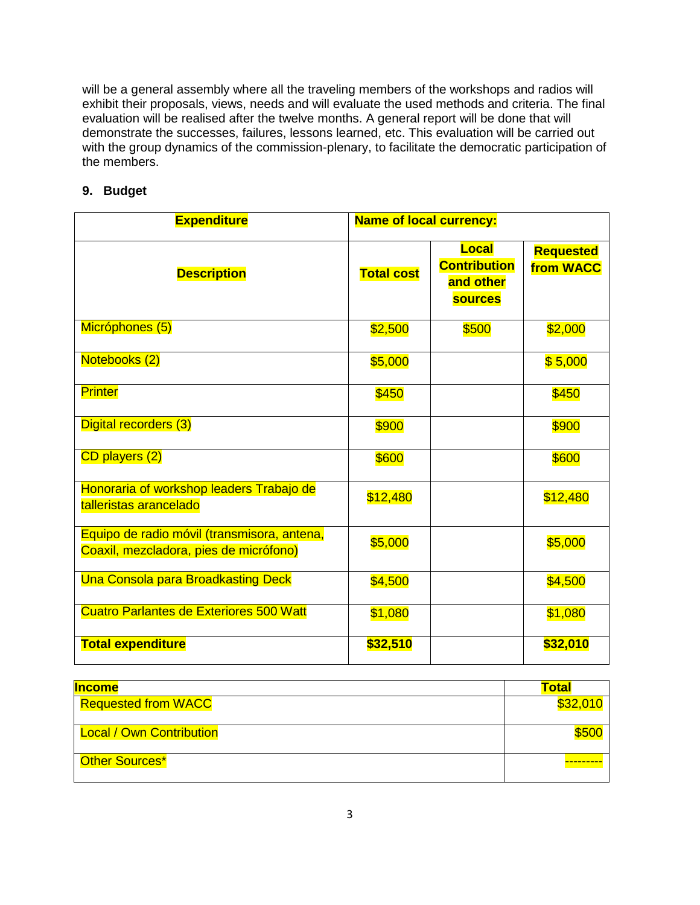will be a general assembly where all the traveling members of the workshops and radios will exhibit their proposals, views, needs and will evaluate the used methods and criteria. The final evaluation will be realised after the twelve months. A general report will be done that will demonstrate the successes, failures, lessons learned, etc. This evaluation will be carried out with the group dynamics of the commission-plenary, to facilitate the democratic participation of the members.

# **9. Budget**

| <b>Expenditure</b>                                                                    | <b>Name of local currency:</b> |                                                             |                               |
|---------------------------------------------------------------------------------------|--------------------------------|-------------------------------------------------------------|-------------------------------|
| <b>Description</b>                                                                    | <b>Total cost</b>              | Local<br><b>Contribution</b><br>and other<br><b>sources</b> | <b>Requested</b><br>from WACC |
| Micróphones (5)                                                                       | \$2,500                        | \$500                                                       | \$2,000                       |
| Notebooks (2)                                                                         | \$5,000                        |                                                             | \$5,000                       |
| <b>Printer</b>                                                                        | \$450                          |                                                             | \$450                         |
| Digital recorders (3)                                                                 | \$900                          |                                                             | \$900                         |
| CD players (2)                                                                        | \$600                          |                                                             | \$600                         |
| Honoraria of workshop leaders Trabajo de<br>talleristas arancelado                    | \$12,480                       |                                                             | \$12,480                      |
| Equipo de radio móvil (transmisora, antena,<br>Coaxil, mezcladora, pies de micrófono) | \$5,000                        |                                                             | \$5,000                       |
| <b>Una Consola para Broadkasting Deck</b>                                             | \$4,500                        |                                                             | \$4,500                       |
| <b>Cuatro Parlantes de Exteriores 500 Watt</b>                                        | \$1,080                        |                                                             | \$1,080                       |
| <b>Total expenditure</b>                                                              | \$32,510                       |                                                             | \$32,010                      |

| <b>Income</b>                   | Total    |
|---------------------------------|----------|
| <b>Requested from WACC</b>      | \$32,010 |
| <b>Local / Own Contribution</b> |          |
| Other Sources*                  |          |